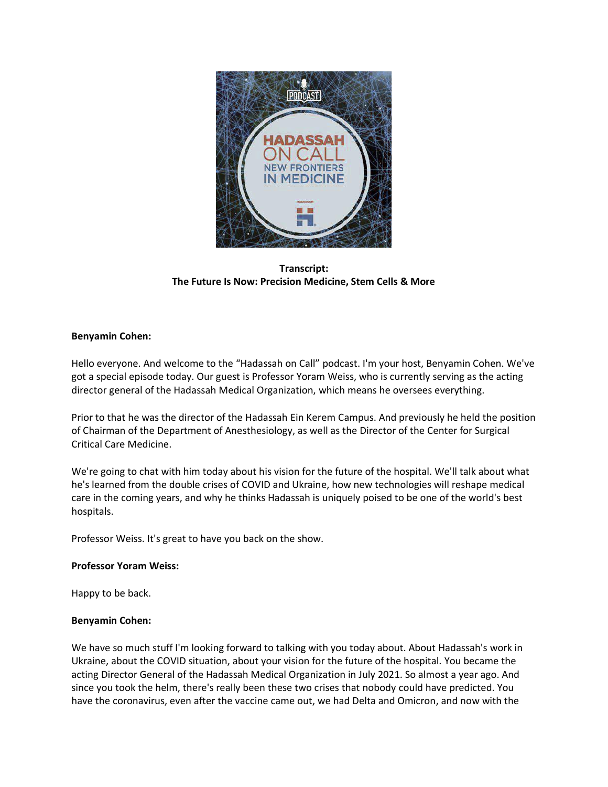

**Transcript: The Future Is Now: Precision Medicine, Stem Cells & More**

# **Benyamin Cohen:**

Hello everyone. And welcome to the "Hadassah on Call" podcast. I'm your host, Benyamin Cohen. We've got a special episode today. Our guest is Professor Yoram Weiss, who is currently serving as the acting director general of the Hadassah Medical Organization, which means he oversees everything.

Prior to that he was the director of the Hadassah Ein Kerem Campus. And previously he held the position of Chairman of the Department of Anesthesiology, as well as the Director of the Center for Surgical Critical Care Medicine.

We're going to chat with him today about his vision for the future of the hospital. We'll talk about what he's learned from the double crises of COVID and Ukraine, how new technologies will reshape medical care in the coming years, and why he thinks Hadassah is uniquely poised to be one of the world's best hospitals.

Professor Weiss. It's great to have you back on the show.

# **Professor Yoram Weiss:**

Happy to be back.

# **Benyamin Cohen:**

We have so much stuff I'm looking forward to talking with you today about. About Hadassah's work in Ukraine, about the COVID situation, about your vision for the future of the hospital. You became the acting Director General of the Hadassah Medical Organization in July 2021. So almost a year ago. And since you took the helm, there's really been these two crises that nobody could have predicted. You have the coronavirus, even after the vaccine came out, we had Delta and Omicron, and now with the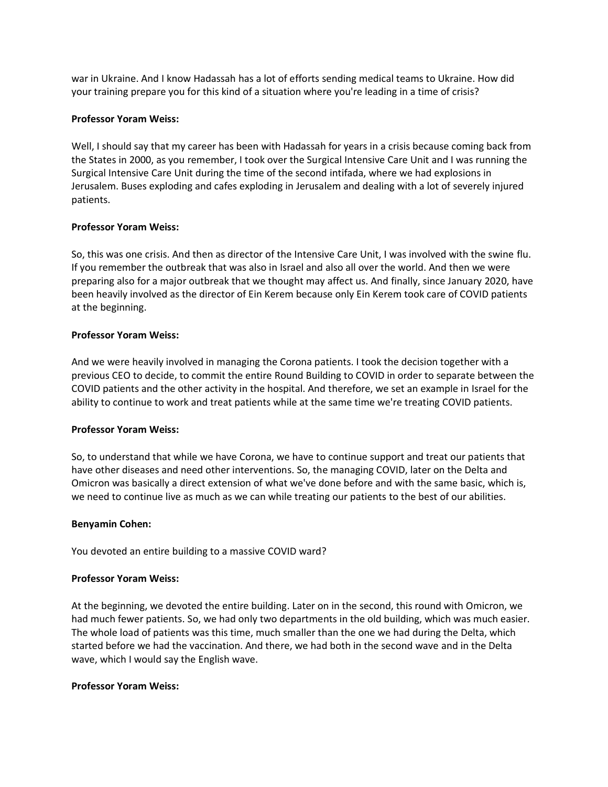war in Ukraine. And I know Hadassah has a lot of efforts sending medical teams to Ukraine. How did your training prepare you for this kind of a situation where you're leading in a time of crisis?

## **Professor Yoram Weiss:**

Well, I should say that my career has been with Hadassah for years in a crisis because coming back from the States in 2000, as you remember, I took over the Surgical Intensive Care Unit and I was running the Surgical Intensive Care Unit during the time of the second intifada, where we had explosions in Jerusalem. Buses exploding and cafes exploding in Jerusalem and dealing with a lot of severely injured patients.

# **Professor Yoram Weiss:**

So, this was one crisis. And then as director of the Intensive Care Unit, I was involved with the swine flu. If you remember the outbreak that was also in Israel and also all over the world. And then we were preparing also for a major outbreak that we thought may affect us. And finally, since January 2020, have been heavily involved as the director of Ein Kerem because only Ein Kerem took care of COVID patients at the beginning.

## **Professor Yoram Weiss:**

And we were heavily involved in managing the Corona patients. I took the decision together with a previous CEO to decide, to commit the entire Round Building to COVID in order to separate between the COVID patients and the other activity in the hospital. And therefore, we set an example in Israel for the ability to continue to work and treat patients while at the same time we're treating COVID patients.

# **Professor Yoram Weiss:**

So, to understand that while we have Corona, we have to continue support and treat our patients that have other diseases and need other interventions. So, the managing COVID, later on the Delta and Omicron was basically a direct extension of what we've done before and with the same basic, which is, we need to continue live as much as we can while treating our patients to the best of our abilities.

# **Benyamin Cohen:**

You devoted an entire building to a massive COVID ward?

#### **Professor Yoram Weiss:**

At the beginning, we devoted the entire building. Later on in the second, this round with Omicron, we had much fewer patients. So, we had only two departments in the old building, which was much easier. The whole load of patients was this time, much smaller than the one we had during the Delta, which started before we had the vaccination. And there, we had both in the second wave and in the Delta wave, which I would say the English wave.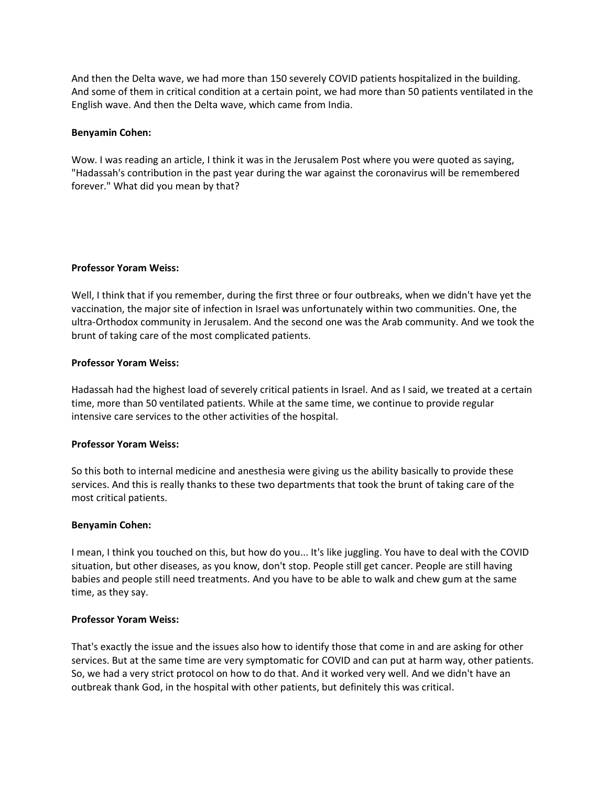And then the Delta wave, we had more than 150 severely COVID patients hospitalized in the building. And some of them in critical condition at a certain point, we had more than 50 patients ventilated in the English wave. And then the Delta wave, which came from India.

## **Benyamin Cohen:**

Wow. I was reading an article, I think it was in the Jerusalem Post where you were quoted as saying, "Hadassah's contribution in the past year during the war against the coronavirus will be remembered forever." What did you mean by that?

## **Professor Yoram Weiss:**

Well, I think that if you remember, during the first three or four outbreaks, when we didn't have yet the vaccination, the major site of infection in Israel was unfortunately within two communities. One, the ultra-Orthodox community in Jerusalem. And the second one was the Arab community. And we took the brunt of taking care of the most complicated patients.

## **Professor Yoram Weiss:**

Hadassah had the highest load of severely critical patients in Israel. And as I said, we treated at a certain time, more than 50 ventilated patients. While at the same time, we continue to provide regular intensive care services to the other activities of the hospital.

#### **Professor Yoram Weiss:**

So this both to internal medicine and anesthesia were giving us the ability basically to provide these services. And this is really thanks to these two departments that took the brunt of taking care of the most critical patients.

#### **Benyamin Cohen:**

I mean, I think you touched on this, but how do you... It's like juggling. You have to deal with the COVID situation, but other diseases, as you know, don't stop. People still get cancer. People are still having babies and people still need treatments. And you have to be able to walk and chew gum at the same time, as they say.

#### **Professor Yoram Weiss:**

That's exactly the issue and the issues also how to identify those that come in and are asking for other services. But at the same time are very symptomatic for COVID and can put at harm way, other patients. So, we had a very strict protocol on how to do that. And it worked very well. And we didn't have an outbreak thank God, in the hospital with other patients, but definitely this was critical.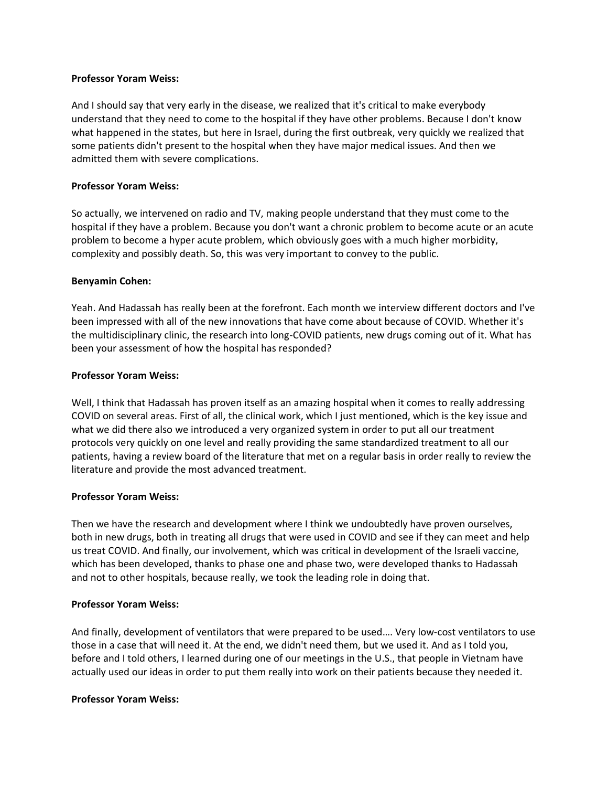## **Professor Yoram Weiss:**

And I should say that very early in the disease, we realized that it's critical to make everybody understand that they need to come to the hospital if they have other problems. Because I don't know what happened in the states, but here in Israel, during the first outbreak, very quickly we realized that some patients didn't present to the hospital when they have major medical issues. And then we admitted them with severe complications.

## **Professor Yoram Weiss:**

So actually, we intervened on radio and TV, making people understand that they must come to the hospital if they have a problem. Because you don't want a chronic problem to become acute or an acute problem to become a hyper acute problem, which obviously goes with a much higher morbidity, complexity and possibly death. So, this was very important to convey to the public.

## **Benyamin Cohen:**

Yeah. And Hadassah has really been at the forefront. Each month we interview different doctors and I've been impressed with all of the new innovations that have come about because of COVID. Whether it's the multidisciplinary clinic, the research into long-COVID patients, new drugs coming out of it. What has been your assessment of how the hospital has responded?

## **Professor Yoram Weiss:**

Well, I think that Hadassah has proven itself as an amazing hospital when it comes to really addressing COVID on several areas. First of all, the clinical work, which I just mentioned, which is the key issue and what we did there also we introduced a very organized system in order to put all our treatment protocols very quickly on one level and really providing the same standardized treatment to all our patients, having a review board of the literature that met on a regular basis in order really to review the literature and provide the most advanced treatment.

#### **Professor Yoram Weiss:**

Then we have the research and development where I think we undoubtedly have proven ourselves, both in new drugs, both in treating all drugs that were used in COVID and see if they can meet and help us treat COVID. And finally, our involvement, which was critical in development of the Israeli vaccine, which has been developed, thanks to phase one and phase two, were developed thanks to Hadassah and not to other hospitals, because really, we took the leading role in doing that.

# **Professor Yoram Weiss:**

And finally, development of ventilators that were prepared to be used…. Very low-cost ventilators to use those in a case that will need it. At the end, we didn't need them, but we used it. And as I told you, before and I told others, I learned during one of our meetings in the U.S., that people in Vietnam have actually used our ideas in order to put them really into work on their patients because they needed it.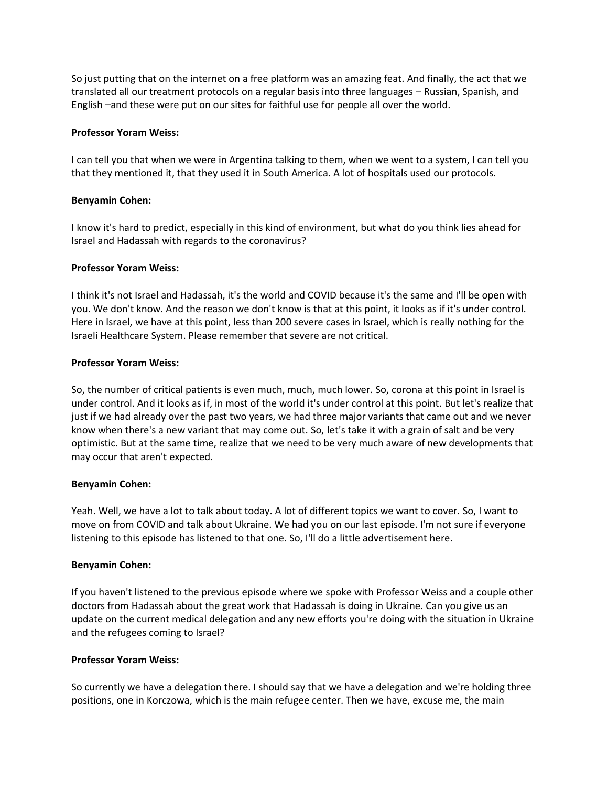So just putting that on the internet on a free platform was an amazing feat. And finally, the act that we translated all our treatment protocols on a regular basis into three languages – Russian, Spanish, and English –and these were put on our sites for faithful use for people all over the world.

## **Professor Yoram Weiss:**

I can tell you that when we were in Argentina talking to them, when we went to a system, I can tell you that they mentioned it, that they used it in South America. A lot of hospitals used our protocols.

## **Benyamin Cohen:**

I know it's hard to predict, especially in this kind of environment, but what do you think lies ahead for Israel and Hadassah with regards to the coronavirus?

## **Professor Yoram Weiss:**

I think it's not Israel and Hadassah, it's the world and COVID because it's the same and I'll be open with you. We don't know. And the reason we don't know is that at this point, it looks as if it's under control. Here in Israel, we have at this point, less than 200 severe cases in Israel, which is really nothing for the Israeli Healthcare System. Please remember that severe are not critical.

## **Professor Yoram Weiss:**

So, the number of critical patients is even much, much, much lower. So, corona at this point in Israel is under control. And it looks as if, in most of the world it's under control at this point. But let's realize that just if we had already over the past two years, we had three major variants that came out and we never know when there's a new variant that may come out. So, let's take it with a grain of salt and be very optimistic. But at the same time, realize that we need to be very much aware of new developments that may occur that aren't expected.

#### **Benyamin Cohen:**

Yeah. Well, we have a lot to talk about today. A lot of different topics we want to cover. So, I want to move on from COVID and talk about Ukraine. We had you on our last episode. I'm not sure if everyone listening to this episode has listened to that one. So, I'll do a little advertisement here.

#### **Benyamin Cohen:**

If you haven't listened to the previous episode where we spoke with Professor Weiss and a couple other doctors from Hadassah about the great work that Hadassah is doing in Ukraine. Can you give us an update on the current medical delegation and any new efforts you're doing with the situation in Ukraine and the refugees coming to Israel?

#### **Professor Yoram Weiss:**

So currently we have a delegation there. I should say that we have a delegation and we're holding three positions, one in Korczowa, which is the main refugee center. Then we have, excuse me, the main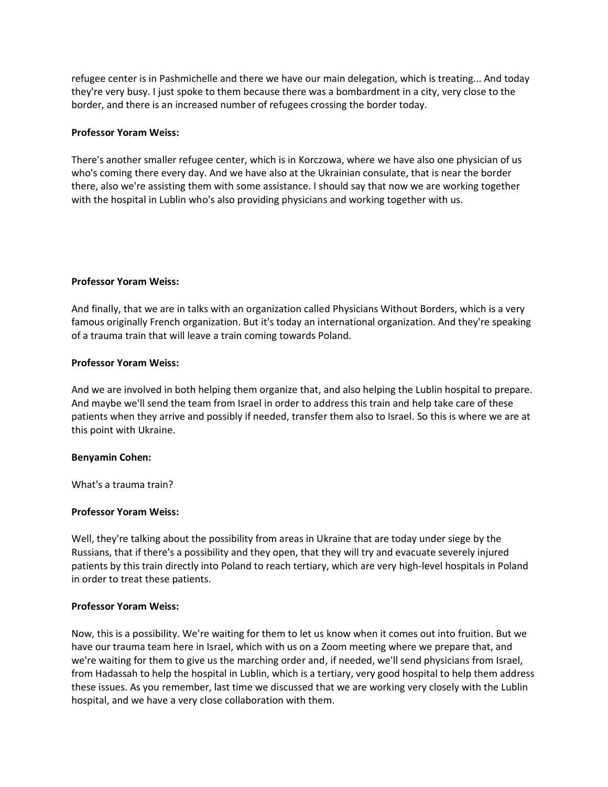refugee center is in Pashmichelle and there we have our main delegation, which is treating... And today they're very busy. I just spoke to them because there was a bombardment in a city, very close to the border, and there is an increased number of refugees crossing the border today.

## **Professor Yoram Weiss:**

There's another smaller refugee center, which is in Korczowa, where we have also one physician of us who's coming there every day. And we have also at the Ukrainian consulate, that is near the border there, also we're assisting them with some assistance. I should say that now we are working together with the hospital in Lublin who's also providing physicians and working together with us.

## **Professor Yoram Weiss:**

And finally, that we are in talks with an organization called Physicians Without Borders, which is a very famous originally French organization. But it's today an international organization. And they're speaking of a trauma train that will leave a train coming towards Poland.

## **Professor Yoram Weiss:**

And we are involved in both helping them organize that, and also helping the Lublin hospital to prepare. And maybe we'll send the team from Israel in order to address this train and help take care of these patients when they arrive and possibly if needed, transfer them also to Israel. So this is where we are at this point with Ukraine.

#### **Benyamin Cohen:**

What's a trauma train?

#### **Professor Yoram Weiss:**

Well, they're talking about the possibility from areas in Ukraine that are today under siege by the Russians, that if there's a possibility and they open, that they will try and evacuate severely injured patients by this train directly into Poland to reach tertiary, which are very high-level hospitals in Poland in order to treat these patients.

#### **Professor Yoram Weiss:**

Now, this is a possibility. We're waiting for them to let us know when it comes out into fruition. But we have our trauma team here in Israel, which with us on a Zoom meeting where we prepare that, and we're waiting for them to give us the marching order and, if needed, we'll send physicians from Israel, from Hadassah to help the hospital in Lublin, which is a tertiary, very good hospital to help them address these issues. As you remember, last time we discussed that we are working very closely with the Lublin hospital, and we have a very close collaboration with them.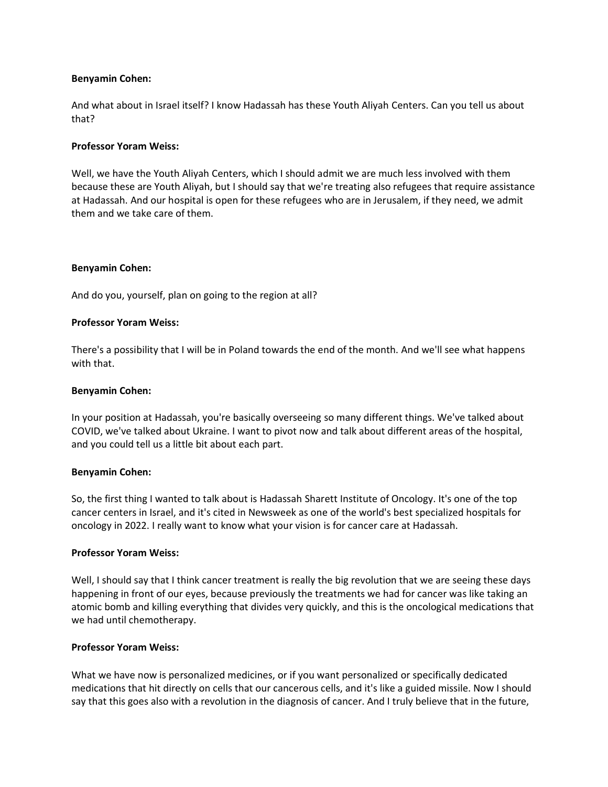## **Benyamin Cohen:**

And what about in Israel itself? I know Hadassah has these Youth Aliyah Centers. Can you tell us about that?

## **Professor Yoram Weiss:**

Well, we have the Youth Aliyah Centers, which I should admit we are much less involved with them because these are Youth Aliyah, but I should say that we're treating also refugees that require assistance at Hadassah. And our hospital is open for these refugees who are in Jerusalem, if they need, we admit them and we take care of them.

## **Benyamin Cohen:**

And do you, yourself, plan on going to the region at all?

## **Professor Yoram Weiss:**

There's a possibility that I will be in Poland towards the end of the month. And we'll see what happens with that.

## **Benyamin Cohen:**

In your position at Hadassah, you're basically overseeing so many different things. We've talked about COVID, we've talked about Ukraine. I want to pivot now and talk about different areas of the hospital, and you could tell us a little bit about each part.

#### **Benyamin Cohen:**

So, the first thing I wanted to talk about is Hadassah Sharett Institute of Oncology. It's one of the top cancer centers in Israel, and it's cited in Newsweek as one of the world's best specialized hospitals for oncology in 2022. I really want to know what your vision is for cancer care at Hadassah.

#### **Professor Yoram Weiss:**

Well, I should say that I think cancer treatment is really the big revolution that we are seeing these days happening in front of our eyes, because previously the treatments we had for cancer was like taking an atomic bomb and killing everything that divides very quickly, and this is the oncological medications that we had until chemotherapy.

#### **Professor Yoram Weiss:**

What we have now is personalized medicines, or if you want personalized or specifically dedicated medications that hit directly on cells that our cancerous cells, and it's like a guided missile. Now I should say that this goes also with a revolution in the diagnosis of cancer. And I truly believe that in the future,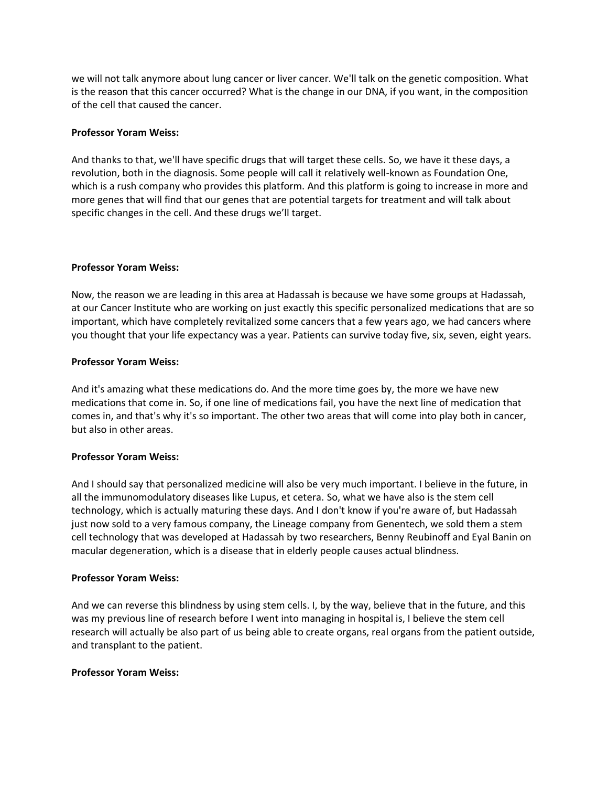we will not talk anymore about lung cancer or liver cancer. We'll talk on the genetic composition. What is the reason that this cancer occurred? What is the change in our DNA, if you want, in the composition of the cell that caused the cancer.

## **Professor Yoram Weiss:**

And thanks to that, we'll have specific drugs that will target these cells. So, we have it these days, a revolution, both in the diagnosis. Some people will call it relatively well-known as Foundation One, which is a rush company who provides this platform. And this platform is going to increase in more and more genes that will find that our genes that are potential targets for treatment and will talk about specific changes in the cell. And these drugs we'll target.

## **Professor Yoram Weiss:**

Now, the reason we are leading in this area at Hadassah is because we have some groups at Hadassah, at our Cancer Institute who are working on just exactly this specific personalized medications that are so important, which have completely revitalized some cancers that a few years ago, we had cancers where you thought that your life expectancy was a year. Patients can survive today five, six, seven, eight years.

## **Professor Yoram Weiss:**

And it's amazing what these medications do. And the more time goes by, the more we have new medications that come in. So, if one line of medications fail, you have the next line of medication that comes in, and that's why it's so important. The other two areas that will come into play both in cancer, but also in other areas.

# **Professor Yoram Weiss:**

And I should say that personalized medicine will also be very much important. I believe in the future, in all the immunomodulatory diseases like Lupus, et cetera. So, what we have also is the stem cell technology, which is actually maturing these days. And I don't know if you're aware of, but Hadassah just now sold to a very famous company, the Lineage company from Genentech, we sold them a stem cell technology that was developed at Hadassah by two researchers, Benny Reubinoff and Eyal Banin on macular degeneration, which is a disease that in elderly people causes actual blindness.

#### **Professor Yoram Weiss:**

And we can reverse this blindness by using stem cells. I, by the way, believe that in the future, and this was my previous line of research before I went into managing in hospital is, I believe the stem cell research will actually be also part of us being able to create organs, real organs from the patient outside, and transplant to the patient.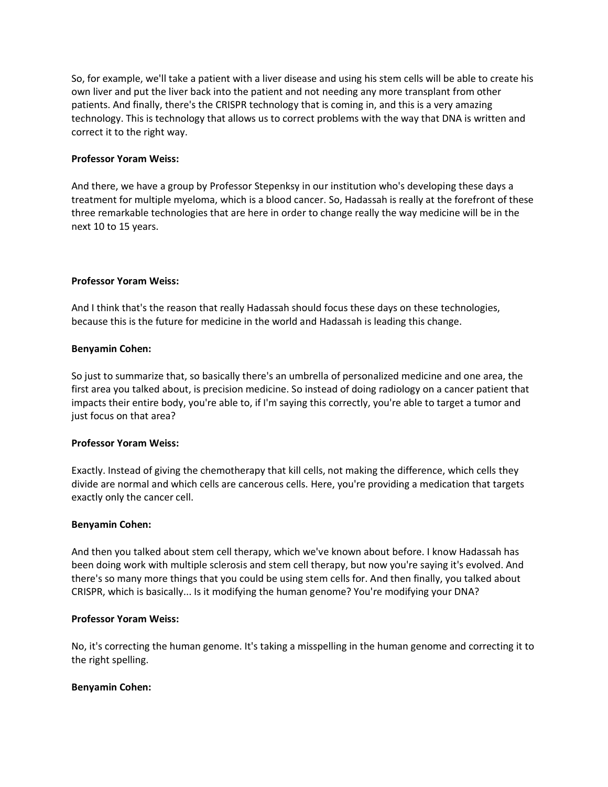So, for example, we'll take a patient with a liver disease and using his stem cells will be able to create his own liver and put the liver back into the patient and not needing any more transplant from other patients. And finally, there's the CRISPR technology that is coming in, and this is a very amazing technology. This is technology that allows us to correct problems with the way that DNA is written and correct it to the right way.

## **Professor Yoram Weiss:**

And there, we have a group by Professor Stepenksy in our institution who's developing these days a treatment for multiple myeloma, which is a blood cancer. So, Hadassah is really at the forefront of these three remarkable technologies that are here in order to change really the way medicine will be in the next 10 to 15 years.

## **Professor Yoram Weiss:**

And I think that's the reason that really Hadassah should focus these days on these technologies, because this is the future for medicine in the world and Hadassah is leading this change.

## **Benyamin Cohen:**

So just to summarize that, so basically there's an umbrella of personalized medicine and one area, the first area you talked about, is precision medicine. So instead of doing radiology on a cancer patient that impacts their entire body, you're able to, if I'm saying this correctly, you're able to target a tumor and just focus on that area?

# **Professor Yoram Weiss:**

Exactly. Instead of giving the chemotherapy that kill cells, not making the difference, which cells they divide are normal and which cells are cancerous cells. Here, you're providing a medication that targets exactly only the cancer cell.

#### **Benyamin Cohen:**

And then you talked about stem cell therapy, which we've known about before. I know Hadassah has been doing work with multiple sclerosis and stem cell therapy, but now you're saying it's evolved. And there's so many more things that you could be using stem cells for. And then finally, you talked about CRISPR, which is basically... Is it modifying the human genome? You're modifying your DNA?

#### **Professor Yoram Weiss:**

No, it's correcting the human genome. It's taking a misspelling in the human genome and correcting it to the right spelling.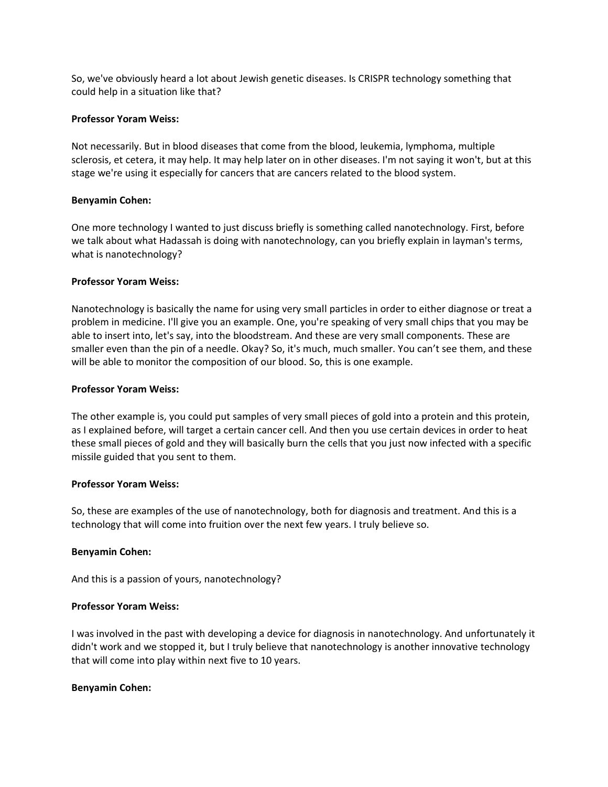So, we've obviously heard a lot about Jewish genetic diseases. Is CRISPR technology something that could help in a situation like that?

## **Professor Yoram Weiss:**

Not necessarily. But in blood diseases that come from the blood, leukemia, lymphoma, multiple sclerosis, et cetera, it may help. It may help later on in other diseases. I'm not saying it won't, but at this stage we're using it especially for cancers that are cancers related to the blood system.

## **Benyamin Cohen:**

One more technology I wanted to just discuss briefly is something called nanotechnology. First, before we talk about what Hadassah is doing with nanotechnology, can you briefly explain in layman's terms, what is nanotechnology?

## **Professor Yoram Weiss:**

Nanotechnology is basically the name for using very small particles in order to either diagnose or treat a problem in medicine. I'll give you an example. One, you're speaking of very small chips that you may be able to insert into, let's say, into the bloodstream. And these are very small components. These are smaller even than the pin of a needle. Okay? So, it's much, much smaller. You can't see them, and these will be able to monitor the composition of our blood. So, this is one example.

## **Professor Yoram Weiss:**

The other example is, you could put samples of very small pieces of gold into a protein and this protein, as I explained before, will target a certain cancer cell. And then you use certain devices in order to heat these small pieces of gold and they will basically burn the cells that you just now infected with a specific missile guided that you sent to them.

#### **Professor Yoram Weiss:**

So, these are examples of the use of nanotechnology, both for diagnosis and treatment. And this is a technology that will come into fruition over the next few years. I truly believe so.

# **Benyamin Cohen:**

And this is a passion of yours, nanotechnology?

# **Professor Yoram Weiss:**

I was involved in the past with developing a device for diagnosis in nanotechnology. And unfortunately it didn't work and we stopped it, but I truly believe that nanotechnology is another innovative technology that will come into play within next five to 10 years.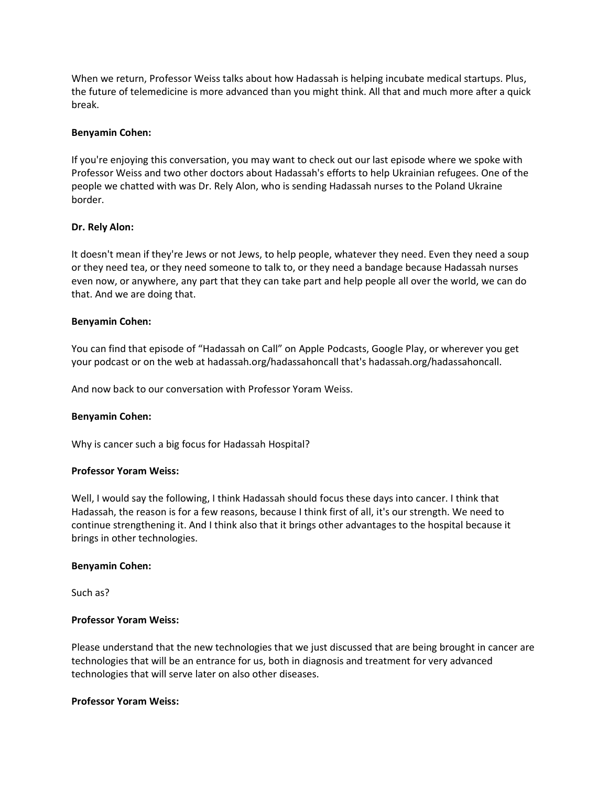When we return, Professor Weiss talks about how Hadassah is helping incubate medical startups. Plus, the future of telemedicine is more advanced than you might think. All that and much more after a quick break.

#### **Benyamin Cohen:**

If you're enjoying this conversation, you may want to check out our last episode where we spoke with Professor Weiss and two other doctors about Hadassah's efforts to help Ukrainian refugees. One of the people we chatted with was Dr. Rely Alon, who is sending Hadassah nurses to the Poland Ukraine border.

# **Dr. Rely Alon:**

It doesn't mean if they're Jews or not Jews, to help people, whatever they need. Even they need a soup or they need tea, or they need someone to talk to, or they need a bandage because Hadassah nurses even now, or anywhere, any part that they can take part and help people all over the world, we can do that. And we are doing that.

## **Benyamin Cohen:**

You can find that episode of "Hadassah on Call" on Apple Podcasts, Google Play, or wherever you get your podcast or on the web at hadassah.org/hadassahoncall that's hadassah.org/hadassahoncall.

And now back to our conversation with Professor Yoram Weiss.

#### **Benyamin Cohen:**

Why is cancer such a big focus for Hadassah Hospital?

#### **Professor Yoram Weiss:**

Well, I would say the following, I think Hadassah should focus these days into cancer. I think that Hadassah, the reason is for a few reasons, because I think first of all, it's our strength. We need to continue strengthening it. And I think also that it brings other advantages to the hospital because it brings in other technologies.

#### **Benyamin Cohen:**

Such as?

#### **Professor Yoram Weiss:**

Please understand that the new technologies that we just discussed that are being brought in cancer are technologies that will be an entrance for us, both in diagnosis and treatment for very advanced technologies that will serve later on also other diseases.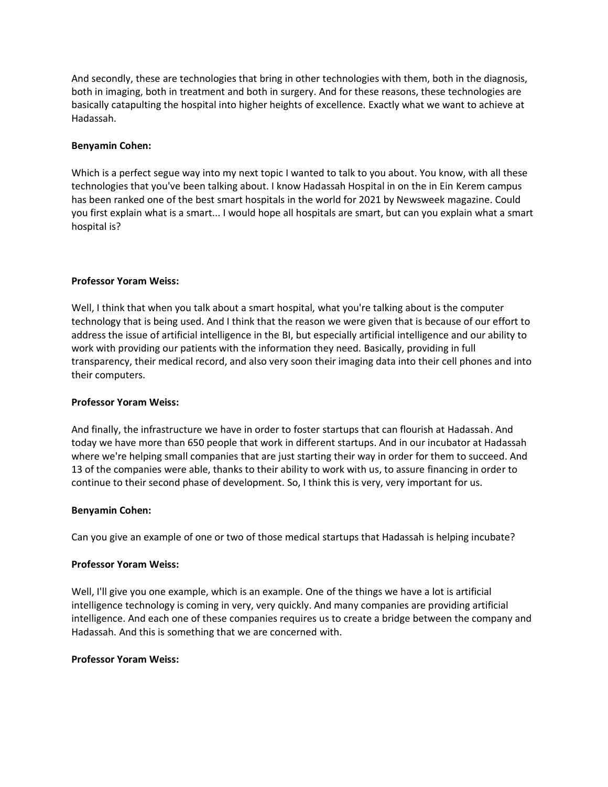And secondly, these are technologies that bring in other technologies with them, both in the diagnosis, both in imaging, both in treatment and both in surgery. And for these reasons, these technologies are basically catapulting the hospital into higher heights of excellence. Exactly what we want to achieve at Hadassah.

# **Benyamin Cohen:**

Which is a perfect segue way into my next topic I wanted to talk to you about. You know, with all these technologies that you've been talking about. I know Hadassah Hospital in on the in Ein Kerem campus has been ranked one of the best smart hospitals in the world for 2021 by Newsweek magazine. Could you first explain what is a smart... I would hope all hospitals are smart, but can you explain what a smart hospital is?

## **Professor Yoram Weiss:**

Well, I think that when you talk about a smart hospital, what you're talking about is the computer technology that is being used. And I think that the reason we were given that is because of our effort to address the issue of artificial intelligence in the BI, but especially artificial intelligence and our ability to work with providing our patients with the information they need. Basically, providing in full transparency, their medical record, and also very soon their imaging data into their cell phones and into their computers.

#### **Professor Yoram Weiss:**

And finally, the infrastructure we have in order to foster startups that can flourish at Hadassah. And today we have more than 650 people that work in different startups. And in our incubator at Hadassah where we're helping small companies that are just starting their way in order for them to succeed. And 13 of the companies were able, thanks to their ability to work with us, to assure financing in order to continue to their second phase of development. So, I think this is very, very important for us.

#### **Benyamin Cohen:**

Can you give an example of one or two of those medical startups that Hadassah is helping incubate?

#### **Professor Yoram Weiss:**

Well, I'll give you one example, which is an example. One of the things we have a lot is artificial intelligence technology is coming in very, very quickly. And many companies are providing artificial intelligence. And each one of these companies requires us to create a bridge between the company and Hadassah. And this is something that we are concerned with.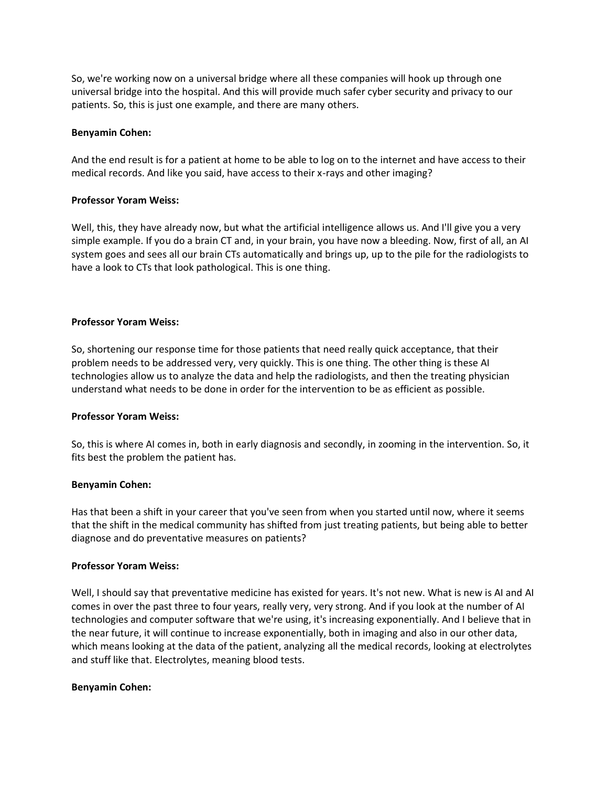So, we're working now on a universal bridge where all these companies will hook up through one universal bridge into the hospital. And this will provide much safer cyber security and privacy to our patients. So, this is just one example, and there are many others.

## **Benyamin Cohen:**

And the end result is for a patient at home to be able to log on to the internet and have access to their medical records. And like you said, have access to their x-rays and other imaging?

## **Professor Yoram Weiss:**

Well, this, they have already now, but what the artificial intelligence allows us. And I'll give you a very simple example. If you do a brain CT and, in your brain, you have now a bleeding. Now, first of all, an AI system goes and sees all our brain CTs automatically and brings up, up to the pile for the radiologists to have a look to CTs that look pathological. This is one thing.

## **Professor Yoram Weiss:**

So, shortening our response time for those patients that need really quick acceptance, that their problem needs to be addressed very, very quickly. This is one thing. The other thing is these AI technologies allow us to analyze the data and help the radiologists, and then the treating physician understand what needs to be done in order for the intervention to be as efficient as possible.

#### **Professor Yoram Weiss:**

So, this is where AI comes in, both in early diagnosis and secondly, in zooming in the intervention. So, it fits best the problem the patient has.

#### **Benyamin Cohen:**

Has that been a shift in your career that you've seen from when you started until now, where it seems that the shift in the medical community has shifted from just treating patients, but being able to better diagnose and do preventative measures on patients?

#### **Professor Yoram Weiss:**

Well, I should say that preventative medicine has existed for years. It's not new. What is new is AI and AI comes in over the past three to four years, really very, very strong. And if you look at the number of AI technologies and computer software that we're using, it's increasing exponentially. And I believe that in the near future, it will continue to increase exponentially, both in imaging and also in our other data, which means looking at the data of the patient, analyzing all the medical records, looking at electrolytes and stuff like that. Electrolytes, meaning blood tests.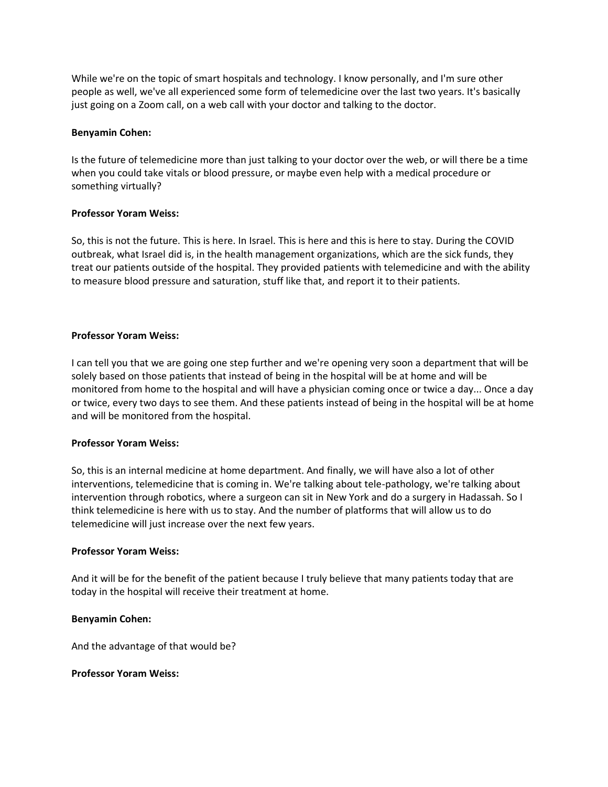While we're on the topic of smart hospitals and technology. I know personally, and I'm sure other people as well, we've all experienced some form of telemedicine over the last two years. It's basically just going on a Zoom call, on a web call with your doctor and talking to the doctor.

## **Benyamin Cohen:**

Is the future of telemedicine more than just talking to your doctor over the web, or will there be a time when you could take vitals or blood pressure, or maybe even help with a medical procedure or something virtually?

## **Professor Yoram Weiss:**

So, this is not the future. This is here. In Israel. This is here and this is here to stay. During the COVID outbreak, what Israel did is, in the health management organizations, which are the sick funds, they treat our patients outside of the hospital. They provided patients with telemedicine and with the ability to measure blood pressure and saturation, stuff like that, and report it to their patients.

## **Professor Yoram Weiss:**

I can tell you that we are going one step further and we're opening very soon a department that will be solely based on those patients that instead of being in the hospital will be at home and will be monitored from home to the hospital and will have a physician coming once or twice a day... Once a day or twice, every two days to see them. And these patients instead of being in the hospital will be at home and will be monitored from the hospital.

# **Professor Yoram Weiss:**

So, this is an internal medicine at home department. And finally, we will have also a lot of other interventions, telemedicine that is coming in. We're talking about tele-pathology, we're talking about intervention through robotics, where a surgeon can sit in New York and do a surgery in Hadassah. So I think telemedicine is here with us to stay. And the number of platforms that will allow us to do telemedicine will just increase over the next few years.

#### **Professor Yoram Weiss:**

And it will be for the benefit of the patient because I truly believe that many patients today that are today in the hospital will receive their treatment at home.

# **Benyamin Cohen:**

And the advantage of that would be?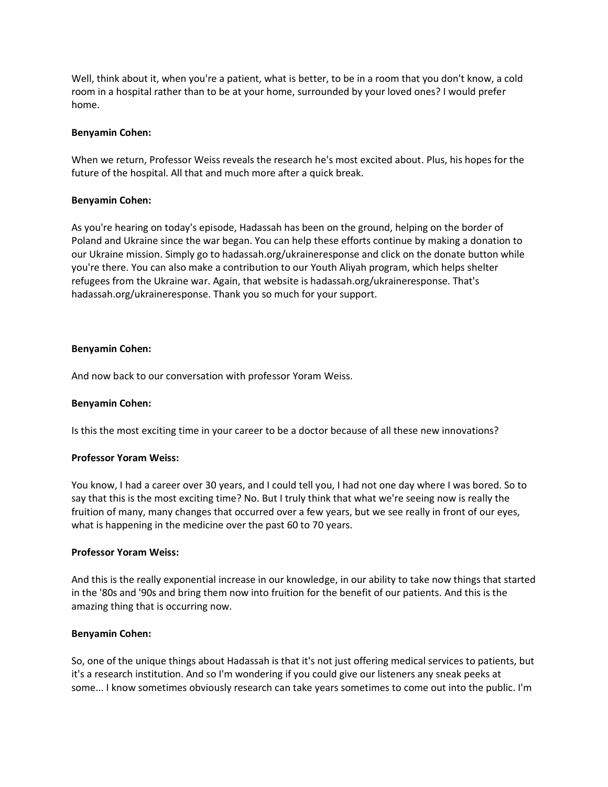Well, think about it, when you're a patient, what is better, to be in a room that you don't know, a cold room in a hospital rather than to be at your home, surrounded by your loved ones? I would prefer home.

## **Benyamin Cohen:**

When we return, Professor Weiss reveals the research he's most excited about. Plus, his hopes for the future of the hospital. All that and much more after a quick break.

## **Benyamin Cohen:**

As you're hearing on today's episode, Hadassah has been on the ground, helping on the border of Poland and Ukraine since the war began. You can help these efforts continue by making a donation to our Ukraine mission. Simply go to hadassah.org/ukraineresponse and click on the donate button while you're there. You can also make a contribution to our Youth Aliyah program, which helps shelter refugees from the Ukraine war. Again, that website is hadassah.org/ukraineresponse. That's hadassah.org/ukraineresponse. Thank you so much for your support.

## **Benyamin Cohen:**

And now back to our conversation with professor Yoram Weiss.

#### **Benyamin Cohen:**

Is this the most exciting time in your career to be a doctor because of all these new innovations?

#### **Professor Yoram Weiss:**

You know, I had a career over 30 years, and I could tell you, I had not one day where I was bored. So to say that this is the most exciting time? No. But I truly think that what we're seeing now is really the fruition of many, many changes that occurred over a few years, but we see really in front of our eyes, what is happening in the medicine over the past 60 to 70 years.

#### **Professor Yoram Weiss:**

And this is the really exponential increase in our knowledge, in our ability to take now things that started in the '80s and '90s and bring them now into fruition for the benefit of our patients. And this is the amazing thing that is occurring now.

#### **Benyamin Cohen:**

So, one of the unique things about Hadassah is that it's not just offering medical services to patients, but it's a research institution. And so I'm wondering if you could give our listeners any sneak peeks at some... I know sometimes obviously research can take years sometimes to come out into the public. I'm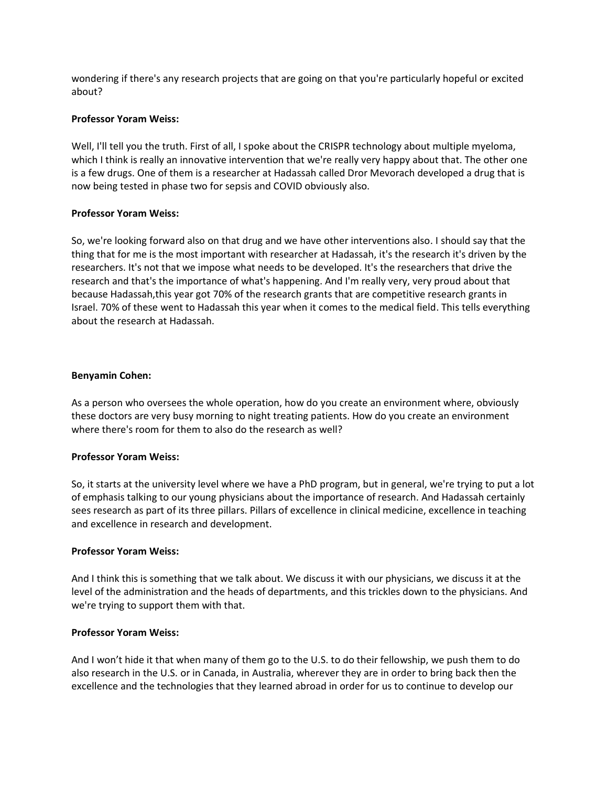wondering if there's any research projects that are going on that you're particularly hopeful or excited about?

# **Professor Yoram Weiss:**

Well, I'll tell you the truth. First of all, I spoke about the CRISPR technology about multiple myeloma, which I think is really an innovative intervention that we're really very happy about that. The other one is a few drugs. One of them is a researcher at Hadassah called Dror Mevorach developed a drug that is now being tested in phase two for sepsis and COVID obviously also.

# **Professor Yoram Weiss:**

So, we're looking forward also on that drug and we have other interventions also. I should say that the thing that for me is the most important with researcher at Hadassah, it's the research it's driven by the researchers. It's not that we impose what needs to be developed. It's the researchers that drive the research and that's the importance of what's happening. And I'm really very, very proud about that because Hadassah,this year got 70% of the research grants that are competitive research grants in Israel. 70% of these went to Hadassah this year when it comes to the medical field. This tells everything about the research at Hadassah.

# **Benyamin Cohen:**

As a person who oversees the whole operation, how do you create an environment where, obviously these doctors are very busy morning to night treating patients. How do you create an environment where there's room for them to also do the research as well?

# **Professor Yoram Weiss:**

So, it starts at the university level where we have a PhD program, but in general, we're trying to put a lot of emphasis talking to our young physicians about the importance of research. And Hadassah certainly sees research as part of its three pillars. Pillars of excellence in clinical medicine, excellence in teaching and excellence in research and development.

# **Professor Yoram Weiss:**

And I think this is something that we talk about. We discuss it with our physicians, we discuss it at the level of the administration and the heads of departments, and this trickles down to the physicians. And we're trying to support them with that.

# **Professor Yoram Weiss:**

And I won't hide it that when many of them go to the U.S. to do their fellowship, we push them to do also research in the U.S. or in Canada, in Australia, wherever they are in order to bring back then the excellence and the technologies that they learned abroad in order for us to continue to develop our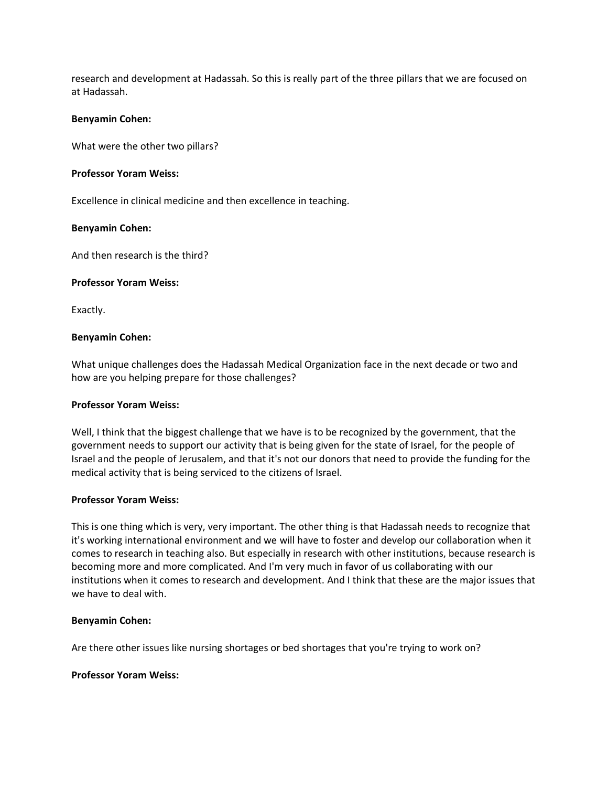research and development at Hadassah. So this is really part of the three pillars that we are focused on at Hadassah.

#### **Benyamin Cohen:**

What were the other two pillars?

## **Professor Yoram Weiss:**

Excellence in clinical medicine and then excellence in teaching.

## **Benyamin Cohen:**

And then research is the third?

## **Professor Yoram Weiss:**

Exactly.

## **Benyamin Cohen:**

What unique challenges does the Hadassah Medical Organization face in the next decade or two and how are you helping prepare for those challenges?

#### **Professor Yoram Weiss:**

Well, I think that the biggest challenge that we have is to be recognized by the government, that the government needs to support our activity that is being given for the state of Israel, for the people of Israel and the people of Jerusalem, and that it's not our donors that need to provide the funding for the medical activity that is being serviced to the citizens of Israel.

# **Professor Yoram Weiss:**

This is one thing which is very, very important. The other thing is that Hadassah needs to recognize that it's working international environment and we will have to foster and develop our collaboration when it comes to research in teaching also. But especially in research with other institutions, because research is becoming more and more complicated. And I'm very much in favor of us collaborating with our institutions when it comes to research and development. And I think that these are the major issues that we have to deal with.

#### **Benyamin Cohen:**

Are there other issues like nursing shortages or bed shortages that you're trying to work on?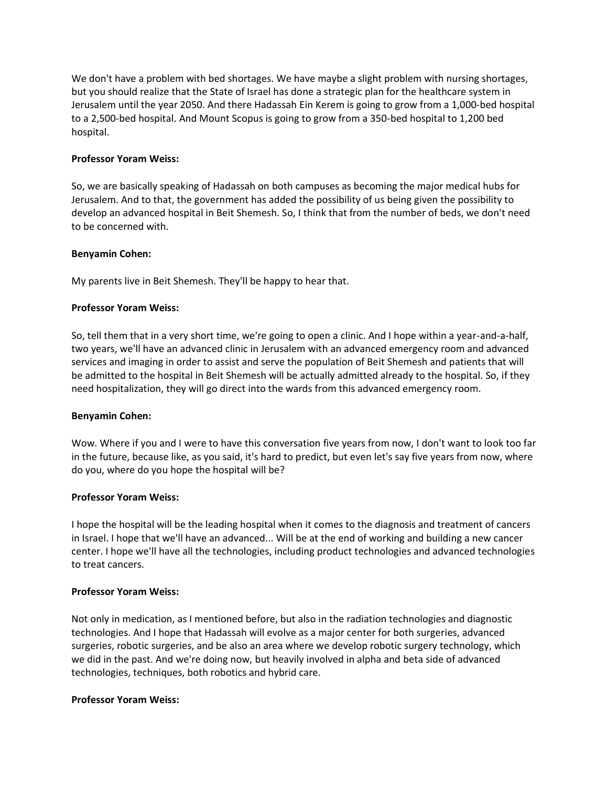We don't have a problem with bed shortages. We have maybe a slight problem with nursing shortages, but you should realize that the State of Israel has done a strategic plan for the healthcare system in Jerusalem until the year 2050. And there Hadassah Ein Kerem is going to grow from a 1,000-bed hospital to a 2,500-bed hospital. And Mount Scopus is going to grow from a 350-bed hospital to 1,200 bed hospital.

# **Professor Yoram Weiss:**

So, we are basically speaking of Hadassah on both campuses as becoming the major medical hubs for Jerusalem. And to that, the government has added the possibility of us being given the possibility to develop an advanced hospital in Beit Shemesh. So, I think that from the number of beds, we don't need to be concerned with.

# **Benyamin Cohen:**

My parents live in Beit Shemesh. They'll be happy to hear that.

# **Professor Yoram Weiss:**

So, tell them that in a very short time, we're going to open a clinic. And I hope within a year-and-a-half, two years, we'll have an advanced clinic in Jerusalem with an advanced emergency room and advanced services and imaging in order to assist and serve the population of Beit Shemesh and patients that will be admitted to the hospital in Beit Shemesh will be actually admitted already to the hospital. So, if they need hospitalization, they will go direct into the wards from this advanced emergency room.

# **Benyamin Cohen:**

Wow. Where if you and I were to have this conversation five years from now, I don't want to look too far in the future, because like, as you said, it's hard to predict, but even let's say five years from now, where do you, where do you hope the hospital will be?

# **Professor Yoram Weiss:**

I hope the hospital will be the leading hospital when it comes to the diagnosis and treatment of cancers in Israel. I hope that we'll have an advanced... Will be at the end of working and building a new cancer center. I hope we'll have all the technologies, including product technologies and advanced technologies to treat cancers.

# **Professor Yoram Weiss:**

Not only in medication, as I mentioned before, but also in the radiation technologies and diagnostic technologies. And I hope that Hadassah will evolve as a major center for both surgeries, advanced surgeries, robotic surgeries, and be also an area where we develop robotic surgery technology, which we did in the past. And we're doing now, but heavily involved in alpha and beta side of advanced technologies, techniques, both robotics and hybrid care.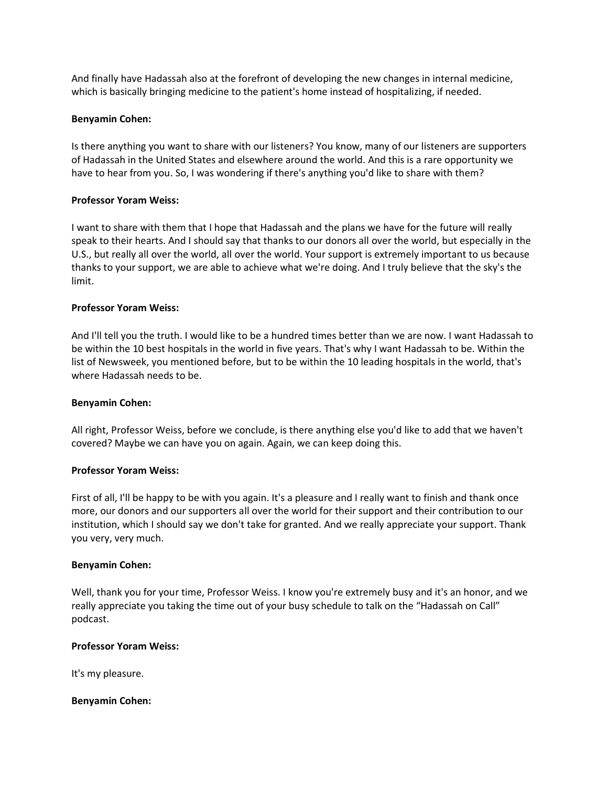And finally have Hadassah also at the forefront of developing the new changes in internal medicine, which is basically bringing medicine to the patient's home instead of hospitalizing, if needed.

## **Benyamin Cohen:**

Is there anything you want to share with our listeners? You know, many of our listeners are supporters of Hadassah in the United States and elsewhere around the world. And this is a rare opportunity we have to hear from you. So, I was wondering if there's anything you'd like to share with them?

## **Professor Yoram Weiss:**

I want to share with them that I hope that Hadassah and the plans we have for the future will really speak to their hearts. And I should say that thanks to our donors all over the world, but especially in the U.S., but really all over the world, all over the world. Your support is extremely important to us because thanks to your support, we are able to achieve what we're doing. And I truly believe that the sky's the limit.

## **Professor Yoram Weiss:**

And I'll tell you the truth. I would like to be a hundred times better than we are now. I want Hadassah to be within the 10 best hospitals in the world in five years. That's why I want Hadassah to be. Within the list of Newsweek, you mentioned before, but to be within the 10 leading hospitals in the world, that's where Hadassah needs to be.

#### **Benyamin Cohen:**

All right, Professor Weiss, before we conclude, is there anything else you'd like to add that we haven't covered? Maybe we can have you on again. Again, we can keep doing this.

#### **Professor Yoram Weiss:**

First of all, I'll be happy to be with you again. It's a pleasure and I really want to finish and thank once more, our donors and our supporters all over the world for their support and their contribution to our institution, which I should say we don't take for granted. And we really appreciate your support. Thank you very, very much.

#### **Benyamin Cohen:**

Well, thank you for your time, Professor Weiss. I know you're extremely busy and it's an honor, and we really appreciate you taking the time out of your busy schedule to talk on the "Hadassah on Call" podcast.

#### **Professor Yoram Weiss:**

It's my pleasure.